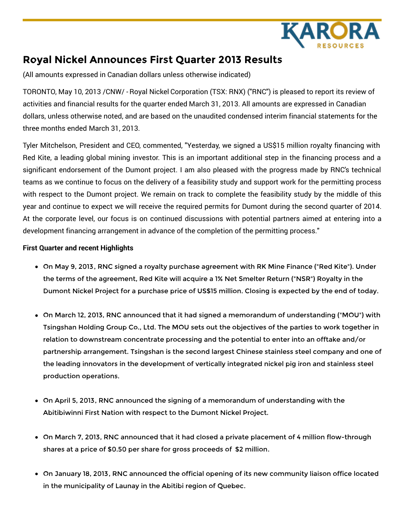

# **Royal Nickel Announces First Quarter 2013 Results**

(All amounts expressed in Canadian dollars unless otherwise indicated)

TORONTO, May 10, 2013 /CNW/ - Royal Nickel Corporation (TSX: RNX) ("RNC") is pleased to report its review of activities and financial results for the quarter ended March 31, 2013. All amounts are expressed in Canadian dollars, unless otherwise noted, and are based on the unaudited condensed interim financial statements for the three months ended March 31, 2013.

Tyler Mitchelson, President and CEO, commented, "Yesterday, we signed a US\$15 million royalty financing with Red Kite, a leading global mining investor. This is an important additional step in the financing process and a significant endorsement of the Dumont project. I am also pleased with the progress made by RNC's technical teams as we continue to focus on the delivery of a feasibility study and support work for the permitting process with respect to the Dumont project. We remain on track to complete the feasibility study by the middle of this year and continue to expect we will receive the required permits for Dumont during the second quarter of 2014. At the corporate level, our focus is on continued discussions with potential partners aimed at entering into a development financing arrangement in advance of the completion of the permitting process."

## **First Quarter and recent Highlights**

- On May 9, 2013, RNC signed a royalty purchase agreement with RK Mine Finance ("Red Kite"). Under the terms of the agreement, Red Kite will acquire a 1% Net Smelter Return ("NSR") Royalty in the Dumont Nickel Project for a purchase price of US\$15 million. Closing is expected by the end of today.
- On March 12, 2013, RNC announced that it had signed a memorandum of understanding ("MOU") with Tsingshan Holding Group Co., Ltd. The MOU sets out the objectives of the parties to work together in relation to downstream concentrate processing and the potential to enter into an offtake and/or partnership arrangement. Tsingshan is the second largest Chinese stainless steel company and one of the leading innovators in the development of vertically integrated nickel pig iron and stainless steel production operations.
- On April 5, 2013, RNC announced the signing of a memorandum of understanding with the Abitibiwinni First Nation with respect to the Dumont Nickel Project.
- On March 7, 2013, RNC announced that it had closed a private placement of 4 million flow-through shares at a price of \$0.50 per share for gross proceeds of \$2 million.
- On January 18, 2013, RNC announced the official opening of its new community liaison office located in the municipality of Launay in the Abitibi region of Quebec.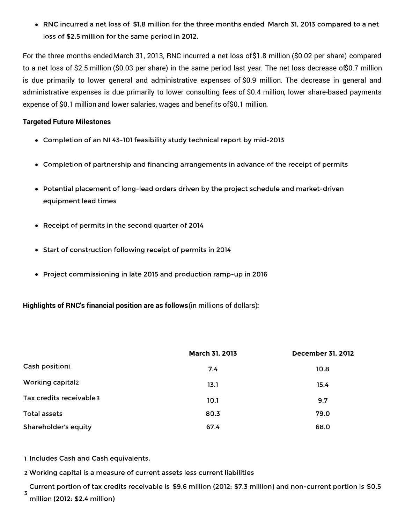RNC incurred a net loss of \$1.8 million for the three months ended March 31, 2013 compared to a net loss of \$2.5 million for the same period in 2012.

For the three months endedMarch 31, 2013, RNC incurred a net loss of\$1.8 million (\$0.02 per share) compared to a net loss of \$2.5 million (\$0.03 per share) in the same period last year. The net loss decrease of\$0.7 million is due primarily to lower general and administrative expenses of \$0.9 million. The decrease in general and administrative expenses is due primarily to lower consulting fees of \$0.4 million, lower share-based payments expense of \$0.1 million and lower salaries, wages and benefits of\$0.1 million.

## **Targeted Future Milestones**

- Completion of an NI 43-101 feasibility study technical report by mid-2013
- Completion of partnership and financing arrangements in advance of the receipt of permits
- Potential placement of long-lead orders driven by the project schedule and market-driven equipment lead times
- Receipt of permits in the second quarter of 2014
- Start of construction following receipt of permits in 2014
- Project commissioning in late 2015 and production ramp-up in 2016

**Highlights of RNC's financial position are as follows**(in millions of dollars)**:**

|                          | March 31, 2013 | <b>December 31, 2012</b> |
|--------------------------|----------------|--------------------------|
| Cash position1           | 7.4            | 10.8                     |
| <b>Working capital2</b>  | 13.1           | 15.4                     |
| Tax credits receivable 3 | 10.1           | 9.7                      |
| Total assets             | 80.3           | 79.0                     |
| Shareholder's equity     | 67.4           | 68.0                     |

1 Includes Cash and Cash equivalents.

2 Working capital is a measure of current assets less current liabilities

3 Current portion of tax credits receivable is \$9.6 million (2012: \$7.3 million) and non-current portion is \$0.5 million (2012: \$2.4 million)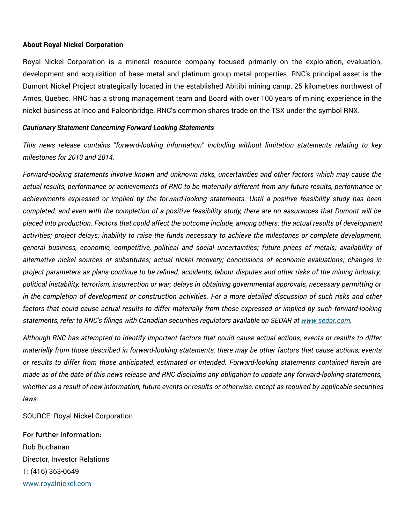#### **About Royal Nickel Corporation**

Royal Nickel Corporation is a mineral resource company focused primarily on the exploration, evaluation, development and acquisition of base metal and platinum group metal properties. RNC's principal asset is the Dumont Nickel Project strategically located in the established Abitibi mining camp, 25 kilometres northwest of Amos, Quebec. RNC has a strong management team and Board with over 100 years of mining experience in the nickel business at Inco and Falconbridge. RNC's common shares trade on the TSX under the symbol RNX.

#### *Cautionary Statement Concerning Forward-Looking Statements*

*This news release contains "forward-looking information" including without limitation statements relating to key milestones for 2013 and 2014.*

*Forward-looking statements involve known and unknown risks, uncertainties and other factors which may cause the* actual results, performance or achievements of RNC to be materially different from any future results, performance or *achievements expressed or implied by the forward-looking statements. Until a positive feasibility study has been* completed, and even with the completion of a positive feasibility study, there are no assurances that Dumont will be placed into production. Factors that could affect the outcome include, among others: the actual results of development activities; project delays; inability to raise the funds necessary to achieve the milestones or complete development; *general business, economic, competitive, political and social uncertainties; future prices of metals; availability of alternative nickel sources or substitutes; actual nickel recovery; conclusions of economic evaluations; changes in* project parameters as plans continue to be refined; accidents, labour disputes and other risks of the mining industry; *political instability, terrorism, insurrection or war; delays in obtaining governmental approvals, necessary permitting or* in the completion of development or construction activities. For a more detailed discussion of such risks and other factors that could cause actual results to differ materially from those expressed or implied by such forward-looking *statements, refer to RNC's filings with Canadian securities regulators available on SEDAR at [www.sedar.com](http://www.sedar.com).*

Although RNC has attempted to identify important factors that could cause actual actions, events or results to differ materially from those described in forward-looking statements, there may be other factors that cause actions, events *or results to differ from those anticipated, estimated or intended. Forward-looking statements contained herein are* made as of the date of this news release and RNC disclaims any obligation to update any forward-looking statements, whether as a result of new information, future events or results or otherwise, except as required by applicable securities *laws.*

SOURCE: Royal Nickel Corporation

For further information: Rob Buchanan Director, Investor Relations T: (416) 363-0649 [www.royalnickel.com](http://www.royalnickel.com)